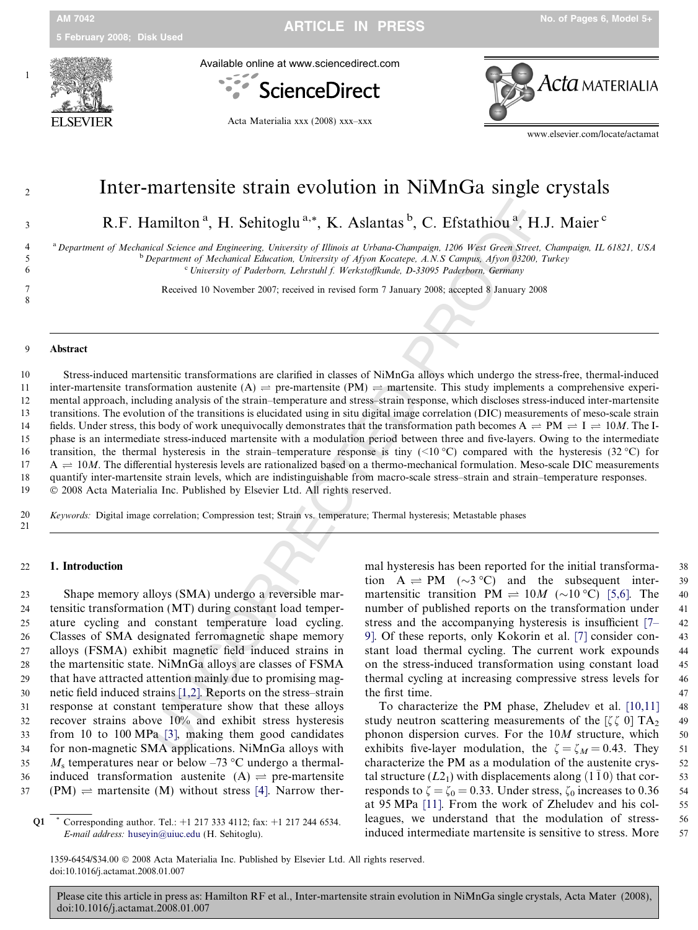Available online at www.sciencedirect.com



Acta Materialia xxx (2008) xxx–xxx



www.elsevier.com/locate/actamat

3 R.F. Hamilton<sup>a</sup>, H. Sehitoglu<sup>a,\*</sup>, K. Aslantas<sup>b</sup>, C. Efstathiou<sup>a</sup>, H.J. Maier<sup>c</sup>

<sup>a</sup> Department of Mechanical Science and Engineering, University of Illinois at Urbana-Champaign, 1206 West Green Street, Champaign, IL 61821, USA <sup>b</sup> Department of Mechanical Education, University of Afyon Kocatepe, A.N.S Campus, Afyon 03200, Turkey

<sup>c</sup> University of Paderborn, Lehrstuhl f. Werkstoffkunde, D-33095 Paderborn, Germany

7 Received 10 November 2007; received in revised form 7 January 2008; accepted 8 January 2008

# 8<br>9 Abstract

4

5

6

Experimental Resolution <sup>a</sup>, **H.** Sehitoglu<sup>a</sup><sup>4</sup>, **K.** Aslantias <sup>b</sup>, **C.** Efstathiou<sup>a</sup>, **H.** Hindric Koring and Displaceiing University of *Blimais at Urbano-Champaign. 1206 West Grown Street, approximent of Mechanical* 10 Stress-induced martensitic transformations are clarified in classes of NiMnGa alloys which undergo the stress-free, thermal-induced 11 inter-martensite transformation austenite  $(A) \rightleftharpoons$  pre-martensite (PM)  $\rightleftharpoons$  martensite. This study implements a comprehensive experi-12 mental approach, including analysis of the strain–temperature and stress–strain response, which discloses stress-induced inter-martensite 13 transitions. The evolution of the transitions is elucidated using in situ digital image correlation (DIC) measurements of meso-scale strain 14 fields. Under stress, this body of work unequivocally demonstrates that the transformation path becomes  $A \rightleftharpoons PM \rightleftharpoons 10M$ . The I-15 phase is an intermediate stress-induced martensite with a modulation period between three and five-layers. Owing to the intermediate 16 transition, the thermal hysteresis in the strain–temperature response is tiny  $\ll 10^{\circ}\text{C}$  compared with the hysteresis (32 °C) for 17  $A \rightleftharpoons 10M$ . The differential hysteresis levels are rationalized based on a thermo-mechanical formulation. Meso-scale DIC measurements 18 quantify inter-martensite strain levels, which are indistinguishable from macro-scale stress–strain and strain–temperature responses. 19 2008 Acta Materialia Inc. Published by Elsevier Ltd. All rights reserved.

20 Keywords: Digital image correlation; Compression test; Strain vs. temperature; Thermal hysteresis; Metastable phases 21

#### 22 1. Introduction

 Shape memory alloys (SMA) undergo a reversible mar- tensitic transformation (MT) during constant load temper- ature cycling and constant temperature load cycling. Classes of SMA designated ferromagnetic shape memory alloys (FSMA) exhibit magnetic field induced strains in the martensitic state. NiMnGa alloys are classes of FSMA that have attracted attention mainly due to promising mag- netic field induced strains [1,2]. Reports on the stress–strain response at constant temperature show that these alloys recover strains above 10% and exhibit stress hysteresis from 10 to 100 MPa [3], making them good candidates for non-magnetic SMA applications. NiMnGa alloys with 35  $M_s$  temperatures near or below -73 °C undergo a thermal-36 induced transformation austenite  $(A) \rightleftharpoons$  pre-martensite (PM)  $\rightleftharpoons$  martensite (M) without stress [\[4\]](#page-5-0). Narrow thermal hysteresis has been reported for the initial transforma- 38 tion  $A \rightleftharpoons PM$  ( $\sim$ 3 °C) and the subsequent inter- 39 martensitic transition  $PM \rightleftharpoons 10M$  ( $\sim 10^{\circ}$ C) [\[5,6\].](#page-5-0) The 40 number of published reports on the transformation under 41 stress and the accompanying hysteresis is insufficient [\[7–](#page-5-0) 42 9]. Of these reports, only Kokorin et al. [\[7\]](#page-5-0) consider con- 43 stant load thermal cycling. The current work expounds 44 on the stress-induced transformation using constant load 45 thermal cycling at increasing compressive stress levels for 46 the first time. 47

To characterize the PM phase, Zheludev et al. [\[10,11\]](#page-5-0) 48 study neutron scattering measurements of the  $\zeta \zeta$  0] TA<sub>2</sub> 49 phonon dispersion curves. For the  $10M$  structure, which  $50$ exhibits five-layer modulation, the  $\zeta = \zeta_M = 0.43$ . They 51 characterize the PM as a modulation of the austenite crys- 52 tal structure  $(L2_1)$  with displacements along  $(1\bar{1}0)$  that cor-<br>53 responds to  $\zeta = \zeta_0 = 0.33$ . Under stress,  $\zeta_0$  increases to 0.36 54 at 95 MPa [\[11\]](#page-5-0). From the work of Zheludev and his col- 55 leagues, we understand that the modulation of stress- 56 induced intermediate martensite is sensitive to stress. More 57

1359-6454/\$34.00 2008 Acta Materialia Inc. Published by Elsevier Ltd. All rights reserved.

Q1 \* Corresponding author. Tel.: +1 217 333 4112; fax: +1 217 244 6534<br> *E-mail address:* huseyin@uiuc.edu (H. Sehitoglu).<br>
1359-6454/\$34.00 © 2008 Acta Materialia Inc. Published by Elsevier Lt<br>
doi:10.1016/j.actamat.2008 Corresponding author. Tel.:  $+1$  217 333 4112; fax:  $+1$  217 244 6534. E-mail address: [huseyin@uiuc.edu](mailto:huseyin@uiuc.edu) (H. Sehitoglu).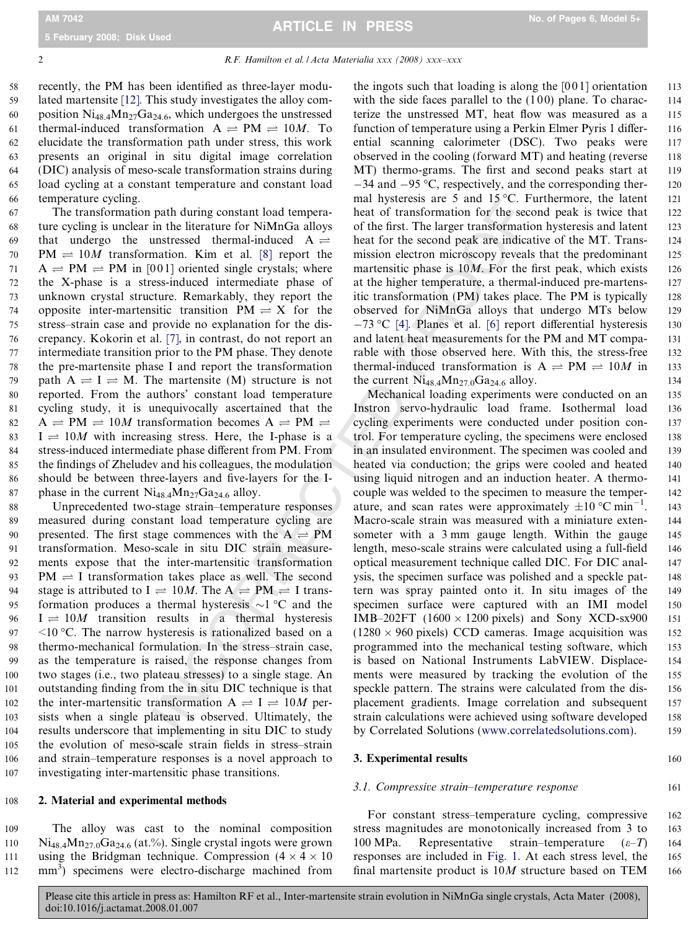#### 2 R.F. Hamilton et al. / Acta Materialia xxx (2008) xxx–xxx

 recently, the PM has been identified as three-layer modu- lated martensite [\[12\].](#page-5-0) This study investigates the alloy com-60 position  $Ni_{48,4}Mn_{27}Ga_{24,6}$ , which undergoes the unstressed 61 thermal-induced transformation  $A \rightleftharpoons PM \rightleftharpoons 10M$ . To elucidate the transformation path under stress, this work presents an original in situ digital image correlation (DIC) analysis of meso-scale transformation strains during load cycling at a constant temperature and constant load temperature cycling.

 The transformation path during constant load tempera- ture cycling is unclear in the literature for NiMnGa alloys 69 that undergo the unstressed thermal-induced A  $\rightleftharpoons$ 70 PM  $\rightleftharpoons$  10*M* transformation. Kim et al. [\[8\]](#page-5-0) report the 71 A  $\rightleftharpoons$  PM  $\rightleftharpoons$  PM in [001] oriented single crystals; where the X-phase is a stress-induced intermediate phase of unknown crystal structure. Remarkably, they report the 74 opposite inter-martensitic transition  $PM \rightleftharpoons X$  for the stress–strain case and provide no explanation for the dis- crepancy. Kokorin et al. [\[7\]](#page-5-0), in contrast, do not report an intermediate transition prior to the PM phase. They denote the pre-martensite phase I and report the transformation 79 path  $A \rightleftharpoons I \rightleftharpoons M$ . The martensite (M) structure is not reported. From the authors' constant load temperature cycling study, it is unequivocally ascertained that the 82 A  $\rightleftharpoons$  PM  $\rightleftharpoons$  10*M* transformation becomes A  $\rightleftharpoons$  PM  $\rightleftharpoons$ 83 I  $\rightleftharpoons$  10*M* with increasing stress. Here, the I-phase is a stress-induced intermediate phase different from PM. From the findings of Zheludev and his colleagues, the modulation should be between three-layers and five-layers for the I-87 phase in the current  $Ni_{48.4}Mn_{27}Ga_{24.6}$  alloy.

 Unprecedented two-stage strain–temperature responses measured during constant load temperature cycling are 90 presented. The first stage commences with the  $A \rightleftharpoons PM$  transformation. Meso-scale in situ DIC strain measure- ments expose that the inter-martensitic transformation PM  $\rightleftharpoons$  I transformation takes place as well. The second 94 stage is attributed to  $I \rightleftharpoons 10M$ . The  $A \rightleftharpoons PM \rightleftharpoons I$  trans-95 formation produces a thermal hysteresis  $\sim$ 1 °C and the  $96 \text{ I} \rightleftharpoons 10M$  transition results in a thermal hysteresis  $\leq 10 \degree C$ . The narrow hysteresis is rationalized based on a thermo-mechanical formulation. In the stress–strain case, as the temperature is raised, the response changes from two stages (i.e., two plateau stresses) to a single stage. An outstanding finding from the in situ DIC technique is that 102 the inter-martensitic transformation  $A \rightleftharpoons I \rightleftharpoons 10M$  per- sists when a single plateau is observed. Ultimately, the results underscore that implementing in situ DIC to study the evolution of meso-scale strain fields in stress–strain and strain–temperature responses is a novel approach to investigating inter-martensitic phase transitions.

#### 108 2. Material and experimental methods

109 The alloy was cast to the nominal composition 110 Ni<sub>48.4</sub>Mn<sub>27.0</sub>Ga<sub>24.6</sub> (at.%). Single crystal ingots were grown 111 using the Bridgman technique. Compression  $(4 \times 4 \times 10)$  $112$  mm<sup>3</sup>) specimens were electro-discharge machined from

the ingots such that loading is along the  $[001]$  orientation 113 with the side faces parallel to the  $(100)$  plane. To charac- 114 terize the unstressed MT, heat flow was measured as a 115 function of temperature using a Perkin Elmer Pyris 1 differ- 116 ential scanning calorimeter (DSC). Two peaks were 117 observed in the cooling (forward MT) and heating (reverse 118 MT) thermo-grams. The first and second peaks start at 119  $-34$  and  $-95$  °C, respectively, and the corresponding ther- 120 mal hysteresis are 5 and  $15^{\circ}$ C. Furthermore, the latent 121 heat of transformation for the second peak is twice that 122 of the first. The larger transformation hysteresis and latent 123 heat for the second peak are indicative of the MT. Trans- 124 mission electron microscopy reveals that the predominant 125 martensitic phase is  $10M$ . For the first peak, which exists 126 at the higher temperature, a thermal-induced pre-martens- 127 itic transformation (PM) takes place. The PM is typically 128 observed for NiMnGa alloys that undergo MTs below 129  $-73$  °C [4]. Planes et al. [6] report differential hysteresis 130 and latent heat measurements for the PM and MT compa- 131 rable with those observed here. With this, the stress-free 132 thermal-induced transformation is  $A \rightleftharpoons PM \rightleftharpoons 10M$  in 133 the current  $Ni_{48.4}Mn_{27.0}Ga_{24.6}$  alloy. 134

. The literature for NMHGG alloys of the first. The large mean that of the first and in the sected mean in the literature of NMHGG alloys of the first. The larger transformation for the sected mean the taut [8] report the Mechanical loading experiments were conducted on an 135 Instron servo-hydraulic load frame. Isothermal load 136 cycling experiments were conducted under position con- 137 trol. For temperature cycling, the specimens were enclosed 138 in an insulated environment. The specimen was cooled and 139 heated via conduction; the grips were cooled and heated 140 using liquid nitrogen and an induction heater. A thermo- 141 couple was welded to the specimen to measure the temper- 142 ature, and scan rates were approximately  $\pm 10$  °C min<sup>-1</sup>. 143 Macro-scale strain was measured with a miniature exten- 144 someter with a 3 mm gauge length. Within the gauge 145 length, meso-scale strains were calculated using a full-field 146 optical measurement technique called DIC. For DIC anal- 147 ysis, the specimen surface was polished and a speckle pat- 148 tern was spray painted onto it. In situ images of the 149 specimen surface were captured with an IMI model 150 IMB–202FT (1600  $\times$  1200 pixels) and Sony XCD-sx900 151  $(1280 \times 960 \text{ pixels})$  CCD cameras. Image acquisition was 152 programmed into the mechanical testing software, which 153 is based on National Instruments LabVIEW. Displace- 154 ments were measured by tracking the evolution of the 155 speckle pattern. The strains were calculated from the dis-<br>156 placement gradients. Image correlation and subsequent 157 strain calculations were achieved using software developed 158 by Correlated Solutions [\(www.correlatedsolutions.com\)](http://www.correlatedsolutions.com). 159

### 3. Experimental results 160

#### 3.1. Compressive strain–temperature response 161

For constant stress–temperature cycling, compressive 162 stress magnitudes are monotonically increased from 3 to 163 100 MPa. Representative strain–temperature  $(\varepsilon-T)$  164 responses are included in [Fig. 1.](#page-2-0) At each stress level, the 165 final martensite product is  $10M$  structure based on TEM 166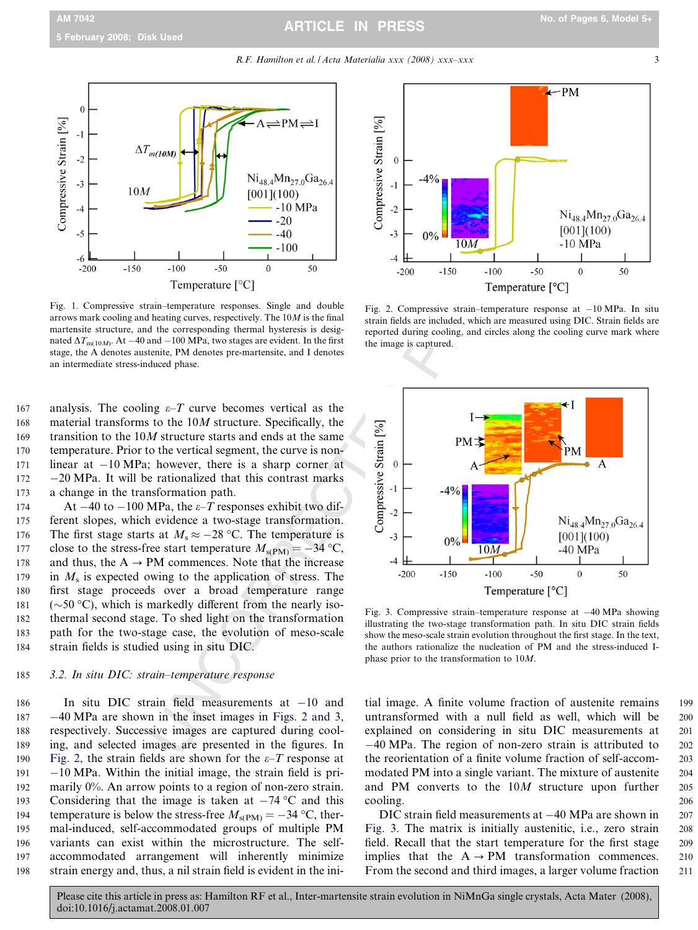# ARTICLE IN PRESS

R.F. Hamilton et al. / Acta Materialia xxx (2008) xxx–xxx

<span id="page-2-0"></span>

Fig. 1. Compressive strain–temperature responses. Single and double arrows mark cooling and heating curves, respectively. The  $10M$  is the final martensite structure, and the corresponding thermal hysteresis is designated  $\Delta T_{\rm m(10M)}$ . At -40 and -100 MPa, two stages are evident. In the first stage, the A denotes austenite, PM denotes pre-martensite, and I denotes an intermediate stress-induced phase.

167 analysis. The cooling  $\varepsilon$ -T curve becomes vertical as the 168 material transforms to the 10M structure. Specifically, the 169 transition to the 10M structure starts and ends at the same 170 temperature. Prior to the vertical segment, the curve is non-171 linear at  $-10 \text{ MPa}$ ; however, there is a sharp corner at 172  $-20$  MPa. It will be rationalized that this contrast marks 173 a change in the transformation path.

174 At  $-40$  to  $-100$  MPa, the  $\varepsilon$ -T responses exhibit two dif-175 ferent slopes, which evidence a two-stage transformation. 176 The first stage starts at  $M_s \approx -28$  °C. The temperature is 177 close to the stress-free start temperature  $M_{\rm s(PM)} = -34$  °C, 178 and thus, the  $A \rightarrow PM$  commences. Note that the increase 179 in  $M<sub>s</sub>$  is expected owing to the application of stress. The 180 first stage proceeds over a broad temperature range 181  $(\sim 50 \degree C)$ , which is markedly different from the nearly iso-182 thermal second stage. To shed light on the transformation 183 path for the two-stage case, the evolution of meso-scale 184 strain fields is studied using in situ DIC.

#### 185 3.2. In situ DIC: strain–temperature response

186 In situ DIC strain field measurements at 10 and 187 40 MPa are shown in the inset images in Figs. 2 and 3 , 188 respectively. Successive images are captured during cool-189 ing, and selected images are presented in the figures. In 190 Fig. 2, the strain fields are shown for the  $\varepsilon$ -T response at 191  $-10$  MPa. Within the initial image, the strain field is pri-192 marily 0%. An arrow points to a region of non-zero strain. 193 Considering that the image is taken at  $-74$  °C and this 194 temperature is below the stress-free  $M_{\rm s(PM)} = -34$  °C, ther-195 mal-induced, self-accommodated groups of multiple PM 196 variants can exist within the microstructure. The self-197 accommodated arrangement will inherently minimize 198 strain energy and, thus, a nil strain field is evident in the ini-



Fig. 2. Compressive strain–temperature response at 10 MPa. In situ strain fields are included, which are measured using DIC. Strain fields are reported during cooling, and circles along the cooling curve mark where the image is captured.



Fig. 3. Compressive strain–temperature response at 40 MPa showing illustrating the two-stage transformation path. In situ DIC strain fields show the meso-scale strain evolution throughout the first stage. In the text, the authors rationalize the nucleation of PM and the stress-induced Iphase prior to the transformation to 10M.

tial image. A finite volume fraction of austenite remains 199 untransformed with a null field as well, which will be 200 explained on considering in situ DIC measurements at 201 40 MPa. The region of non-zero strain is attributed to 202 the reorientation of a finite volume fraction of self-accom- 203 modated PM into a single variant. The mixture of austenite 204 and PM converts to the 10 M structure upon further 205 cooling. 206

DIC strain field measurements at  $-40$  MPa are shown in 207 Fig. 3. The matrix is initially austenitic, i.e., zero strain 208 field. Recall that the start temperature for the first stage 209 implies that the  $A \rightarrow PM$  transformation commences. 210 From the second and third images, a larger volume fraction 211

3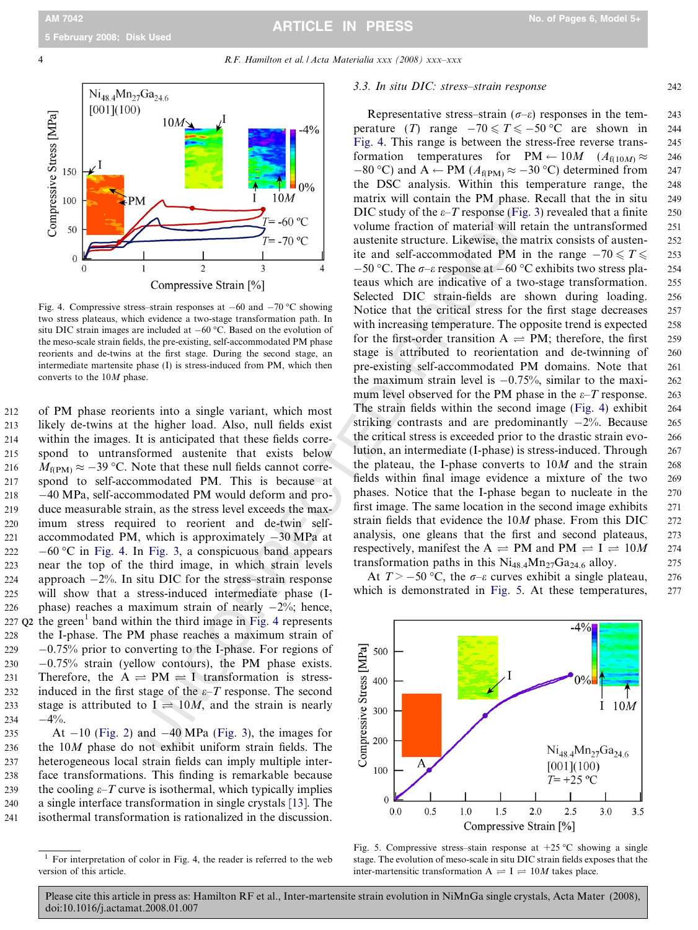#### <span id="page-3-0"></span>4 R.F. Hamilton et al. / Acta Materialia xxx (2008) xxx–xxx



Fig. 4. Compressive stress–strain responses at  $-60$  and  $-70$  °C showing two stress plateaus, which evidence a two-stage transformation path. In situ DIC strain images are included at  $-60$  °C. Based on the evolution of the meso-scale strain fields, the pre-existing, self-accommodated PM phase reorients and de-twins at the first stage. During the second stage, an intermediate martensite phase (I) is stress-induced from PM, which then converts to the 10M phase.

212 of PM phase reorients into a single variant, which most 213 likely de-twins at the higher load. Also, null fields exist 214 within the images. It is anticipated that these fields corre-215 spond to untransformed austenite that exists below 216  $M_{\rm f(PM)} \approx -39$  °C. Note that these null fields cannot corre-217 spond to self-accommodated PM. This is because at  $218 -40 \text{ MPa}$ , self-accommodated PM would deform and pro-219 duce measurable strain, as the stress level exceeds the max-220 imum stress required to reorient and de-twin self-221 accommodated PM, which is approximately  $-30$  MPa at  $222 - 60$  °C in Fig. 4. In Fig. 3, a conspicuous band appears 223 near the top of the third image, in which strain levels 224 approach  $-2\%$ . In situ DIC for the stress-strain response 225 will show that a stress-induced intermediate phase (I-226 phase) reaches a maximum strain of nearly  $-2\%$ ; hence, 227  $Q2$  the green<sup>1</sup> band within the third image in Fig. 4 represents 228 the I-phase. The PM phase reaches a maximum strain of  $229 -0.75\%$  prior to converting to the I-phase. For regions of  $230 -0.75\%$  strain (yellow contours), the PM phase exists. 231 Therefore, the  $A \rightleftharpoons PM \rightleftharpoons I$  transformation is stress-232 induced in the first stage of the  $\varepsilon$ –T response. The second 233 stage is attributed to  $I = 10M$ , and the strain is nearly  $234 -4\%$ .

235 At  $-10$  [\(Fig. 2](#page-2-0)) and  $-40$  MPa (Fig. 3), the images for the 10M phase do not exhibit uniform strain fields. The heterogeneous local strain fields can imply multiple inter- face transformations. This finding is remarkable because 239 the cooling  $\varepsilon$ –T curve is isothermal, which typically implies a single interface transformation in single crystals [\[13\].](#page-5-0) The isothermal transformation is rationalized in the discussion.

#### 3.3. In situ DIC: stress–strain response 242

The control of the Matterial method and the two finals was expected by the section of material will be a state of the compressive Strain [%]<br>  $T = -60$  o<sup>o</sup> DIC study of the *e*-*T* response if Fig.<br>  $T = -70$  o<sup>o</sup> texas whic Representative stress–strain ( $\sigma$ – $\varepsilon$ ) responses in the tem- 243 perature (T) range  $-70 \le T \le -50$  °C are shown in 244 Fig. 4. This range is between the stress-free reverse trans- 245 formation temperatures for  $PM \leftarrow 10M$   $(A_{f(10M)} \approx 246$  $-80$  °C) and A  $\leftarrow$  PM ( $A_{f(PM)} \approx -30$  °C) determined from 247 the DSC analysis. Within this temperature range, the 248 matrix will contain the PM phase. Recall that the in situ 249 DIC study of the  $\varepsilon$ -T response [\(Fig. 3\)](#page-2-0) revealed that a finite 250 volume fraction of material will retain the untransformed 251 austenite structure. Likewise, the matrix consists of austen- 252 ite and self-accommodated PM in the range  $-70 \le T \le 253$  $-50$  °C. The  $\sigma$ - $\varepsilon$  response at  $-60$  °C exhibits two stress pla- 254 teaus which are indicative of a two-stage transformation. 255 Selected DIC strain-fields are shown during loading. 256 Notice that the critical stress for the first stage decreases 257 with increasing temperature. The opposite trend is expected 258 for the first-order transition  $A \rightleftharpoons PM$ ; therefore, the first 259 stage is attributed to reorientation and de-twinning of 260 pre-existing self-accommodated PM domains. Note that 261 the maximum strain level is  $-0.75%$ , similar to the maxi- 262 mum level observed for the PM phase in the  $\varepsilon$ –T response. 263 The strain fields within the second image (Fig. 4) exhibit 264 striking contrasts and are predominantly  $-2\%$ . Because 265 the critical stress is exceeded prior to the drastic strain evo- 266 lution, an intermediate (I-phase) is stress-induced. Through 267 the plateau, the I-phase converts to  $10M$  and the strain 268 fields within final image evidence a mixture of the two 269 phases. Notice that the I-phase began to nucleate in the 270 first image. The same location in the second image exhibits 271 strain fields that evidence the  $10M$  phase. From this DIC  $272$ analysis, one gleans that the first and second plateaus, 273 respectively, manifest the  $A \rightleftharpoons PM$  and  $PM \rightleftharpoons I \rightleftharpoons 10M$  274 transformation paths in this  $Ni_{48.4}Mn_{27}Ga_{24.6}$  alloy. 275

At  $T > -50$  °C, the  $\sigma$ - $\varepsilon$  curves exhibit a single plateau, 276 which is demonstrated in Fig. 5. At these temperatures, 277



Fig. 5. Compressive stress–stain response at  $+25$  °C showing a single stage. The evolution of meso-scale in situ DIC strain fields exposes that the inter-martensitic transformation  $A \rightleftharpoons I \rightleftharpoons 10M$  takes place.

 $1$  For interpretation of color in Fig. 4, the reader is referred to the web version of this article.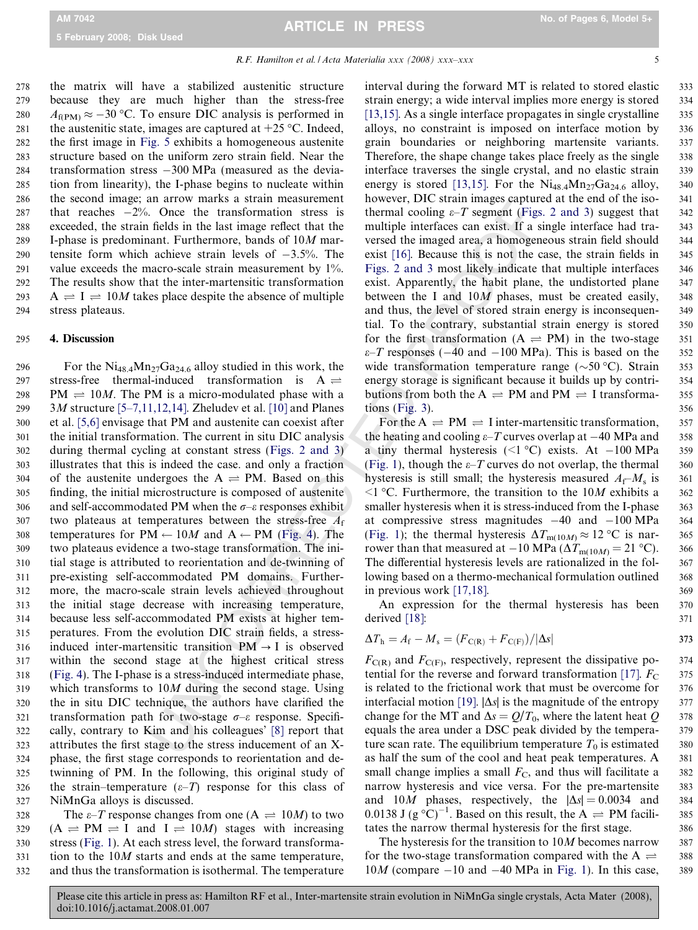278 the matrix will have a stabilized austenitic structure 279 because they are much higher than the stress-free 280  $A_{f(PM)} \approx -30$  °C. To ensure DIC analysis is performed in 281 the austenitic state, images are captured at  $+25$  °C. Indeed, 282 the first image in [Fig. 5](#page-3-0) exhibits a homogeneous austenite 283 structure based on the uniform zero strain field. Near the 284 transformation stress 300 MPa (measured as the devia-285 tion from linearity), the I-phase begins to nucleate within 286 the second image; an arrow marks a strain measurement 287 that reaches  $-2\%$ . Once the transformation stress is 288 exceeded, the strain fields in the last image reflect that the 289 I-phase is predominant. Furthermore, bands of 10M mar-290 tensite form which achieve strain levels of  $-3.5\%$ . The 291 value exceeds the macro-scale strain measurement by  $1\%$ . 292 The results show that the inter-martensitic transformation 293  $A \rightleftharpoons I \rightleftharpoons 10M$  takes place despite the absence of multiple 294 stress plateaus.

#### 295 4. Discussion

If a<br>row marks a strain measurement involver, [T](#page-2-0).O. C. Once the transformation stress is<br>thermal cooling  $e-7$  segment (Figs.<br>includes in the last image relate that the multiple interfactes can exist. If a strain<br>and E-urt 296 For the  $Ni_{48.4}Mn_{27}Ga_{24.6}$  alloy studied in this work, the 297 stress-free thermal-induced transformation is  $A \rightleftharpoons$ 298 PM  $\rightleftharpoons$  10*M*. The PM is a micro-modulated phase with a 299 3 M structure [\[5–7,11,12,14\].](#page-5-0) Zheludev et al. [10] and Planes 300 et al. [\[5,6\]](#page-5-0) envisage that PM and austenite can coexist after 301 the initial transformation. The current in situ DIC analysis 302 during thermal cycling at constant stress (Figs. 2 and 3 ) 303 illustrates that this is indeed the case. and only a fraction 304 of the austenite undergoes the  $A \rightleftharpoons PM$ . Based on this 305 finding, the initial microstructure is composed of austenite 306 and self-accommodated PM when the  $\sigma$ - $\varepsilon$  responses exhibit 307 two plateaus at temperatures between the stress-free  $A_f$ 308 temperatures for  $PM \leftarrow 10M$  and  $A \leftarrow PM$  (Fig. 4). The 309 two plateaus evidence a two-stage transformation. The ini-310 tial stage is attributed to reorientation and de-twinning of 311 pre-existing self-accommodated PM domains. Further-312 more, the macro-scale strain levels achieved throughout 313 the initial stage decrease with increasing temperature, 314 because less self-accommodated PM exists at higher tem-315 peratures. From the evolution DIC strain fields, a stress-316 induced inter-martensitic transition  $PM \rightarrow I$  is observed 317 within the second stage at the highest critical stress 318 ([Fig. 4](#page-3-0)). The I-phase is a stress-induced intermediate phase, 319 which transforms to  $10M$  during the second stage. Using 320 the in situ DIC technique, the authors have clarified the 321 transformation path for two-stage  $\sigma$ - $\varepsilon$  response. Specifi-322 cally, contrary to Kim and his colleagues' [8] report that 323 attributes the first stage to the stress inducement of an X-324 phase, the first stage corresponds to reorientation and de-325 twinning of PM. In the following, this original study of 326 the strain–temperature  $(\varepsilon$ -*T*) response for this class of 327 NiMnGa alloys is discussed.

328 The  $\varepsilon$ -*T* response changes from one (A  $\Rightarrow$  10*M*) to two  $(A \rightleftharpoons PM \rightleftharpoons I$  and  $I \rightleftharpoons 10M$ ) stages with increasing stress [\(Fig. 1](#page-2-0)). At each stress level, the forward transforma- tion to the 10M starts and ends at the same temperature, and thus the transformation is isothermal. The temperature interval during the forward MT is related to stored elastic 333 strain energy; a wide interval implies more energy is stored 334 [ $13,15$ ]. As a single interface propagates in single crystalline  $335$ alloys, no constraint is imposed on interface motion by 336 grain boundaries or neighboring martensite variants. 337 Therefore, the shape change takes place freely as the single 338 interface traverses the single crystal, and no elastic strain 339 energy is stored [\[13,15\].](#page-5-0) For the  $Ni<sub>48.4</sub>Mn<sub>27</sub>Ga<sub>24.6</sub>$  alloy, 340 however, DIC strain images captured at the end of the iso-<br>341 thermal cooling  $\varepsilon$ -T segment ([Figs. 2 and 3](#page-2-0)) suggest that 342 multiple interfaces can exist. If a single interface had tra- 343 versed the imaged area, a homogeneous strain field should 344 exist [\[16\].](#page-5-0) Because this is not the case, the strain fields in 345 [Figs. 2 and 3](#page-2-0) most likely indicate that multiple interfaces 346 exist. Apparently, the habit plane, the undistorted plane 347 between the I and 10 M phases, must be created easily, 348 and thus, the level of stored strain energy is inconsequen- 349 tial. To the contrary, substantial strain energy is stored 350 for the first transformation  $(A \rightleftharpoons PM)$  in the two-stage 351  $\varepsilon$ -T responses (-40 and -100 MPa). This is based on the 352 wide transformation temperature range ( $\sim$ 50 °C). Strain 353 energy storage is significant because it builds up by contri- 354 butions from both the  $A \rightleftharpoons PM$  and  $PM \rightleftharpoons I$  transforma- 355 tions [\(Fig. 3](#page-2-0)). 356

For the  $A \rightleftharpoons PM \rightleftharpoons I$  inter-martensitic transformation, 357 the heating and cooling  $\varepsilon$ -T curves overlap at -40 MPa and 358 a tiny thermal hysteresis  $(\leq 1 \degree C)$  exists. At  $-100 \text{ MPa}$  359 (Fig. 1), though the  $\varepsilon$ -*T* curves do not overlap, the thermal 360 hysteresis is still small; the hysteresis measured  $A_f$ – $M_s$  is 361  $\leq$ 1 °C. Furthermore, the transition to the 10*M* exhibits a 362 smaller hysteresis when it is stress-induced from the I-phase 363 at compressive stress magnitudes 40 and 100 MPa 364 (Fig. 1); the thermal hysteresis  $\Delta T_{m(10M)} \approx 12 \degree \text{C}$  is nar- 365 rower than that measured at  $-10$  MPa ( $\Delta T_{\text{m}(10M)} = 21$  °C). 366 The differential hysteresis levels are rationalized in the fol-<br>367 lowing based on a thermo-mechanical formulation outlined 368 in previous work [\[17,18\]](#page-5-0) **.** 369

An expression for the thermal hysteresis has been 370 derived [\[18\]](#page-5-0): : 371

$$
\Delta T_{\rm h} = A_{\rm f} - M_{\rm s} = (F_{\rm C(R)} + F_{\rm C(F)})/|\Delta s| \tag{373}
$$

 $F_{C(R)}$  and  $F_{C(F)}$ , respectively, represent the dissipative po- 374 tential for the reverse and forward transformation [\[17\]](#page-5-0).  $F_{\rm C}$  375 is related to the frictional work that must be overcome for 376 interfacial motion [\[19\]](#page-5-0).  $|\Delta s|$  is the magnitude of the entropy 377 change for the MT and  $\Delta s = Q/T_0$ , where the latent heat Q 378 equals the area under a DSC peak divided by the tempera- 379 ture scan rate. The equilibrium temperature  $T_0$  is estimated 380 as half the sum of the cool and heat peak temperatures. A 381 small change implies a small  $F_{\rm C}$ , and thus will facilitate a 382 narrow hysteresis and vice versa. For the pre-martensite 383 and 10M phases, respectively, the  $|\Delta s| = 0.0034$  and 384 0.0138 J (g  $^{\circ}C)^{-1}$ . Based on this result, the A  $\rightleftharpoons$  PM facili-385 tates the narrow thermal hysteresis for the first stage. 386

The hysteresis for the transition to  $10M$  becomes narrow 387 for the two-stage transformation compared with the A  $\rightleftharpoons$  $10M$  (compare  $-10$  and  $-40$  MPa in [Fig. 1\)](#page-2-0). In this case, 389

388